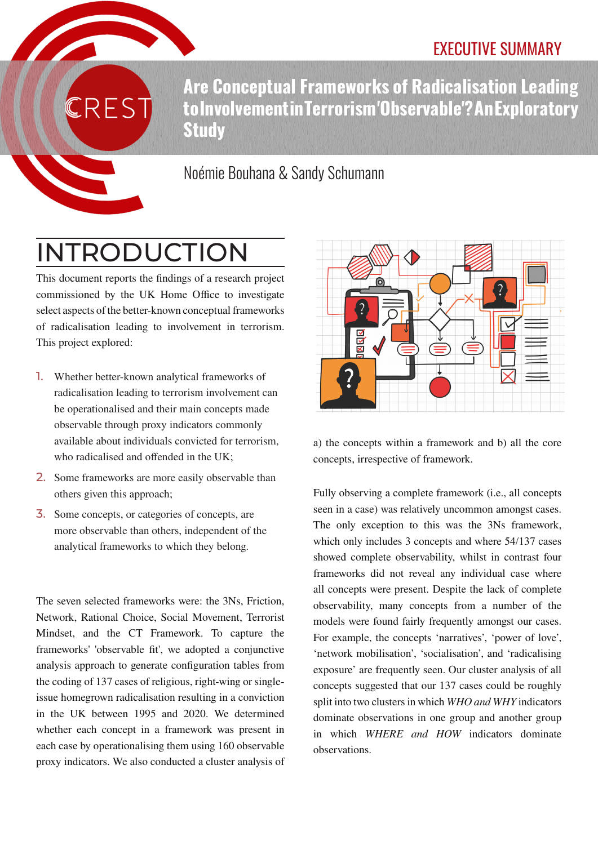## EXECUTIVE SUMMARY

**Are Conceptual Frameworks of Radicalisation Leading to Involvement in Terrorism 'Observable'? An Exploratory Study**

## Noémie Bouhana & Sandy Schumann

# INTRODUCTION

**REST** 

This document reports the findings of a research project commissioned by the UK Home Office to investigate select aspects of the better-known conceptual frameworks of radicalisation leading to involvement in terrorism. This project explored:

- 1. Whether better-known analytical frameworks of radicalisation leading to terrorism involvement can be operationalised and their main concepts made observable through proxy indicators commonly available about individuals convicted for terrorism, who radicalised and offended in the UK;
- 2. Some frameworks are more easily observable than others given this approach;
- 3. Some concepts, or categories of concepts, are more observable than others, independent of the analytical frameworks to which they belong.

The seven selected frameworks were: the 3Ns, Friction, Network, Rational Choice, Social Movement, Terrorist Mindset, and the CT Framework. To capture the frameworks' 'observable fit', we adopted a conjunctive analysis approach to generate configuration tables from the coding of 137 cases of religious, right-wing or singleissue homegrown radicalisation resulting in a conviction in the UK between 1995 and 2020. We determined whether each concept in a framework was present in each case by operationalising them using 160 observable proxy indicators. We also conducted a cluster analysis of



a) the concepts within a framework and b) all the core concepts, irrespective of framework.

Fully observing a complete framework (i.e., all concepts seen in a case) was relatively uncommon amongst cases. The only exception to this was the 3Ns framework, which only includes 3 concepts and where 54/137 cases showed complete observability, whilst in contrast four frameworks did not reveal any individual case where all concepts were present. Despite the lack of complete observability, many concepts from a number of the models were found fairly frequently amongst our cases. For example, the concepts 'narratives', 'power of love', 'network mobilisation', 'socialisation', and 'radicalising exposure' are frequently seen. Our cluster analysis of all concepts suggested that our 137 cases could be roughly split into two clusters in which *WHO and WHY* indicators dominate observations in one group and another group in which *WHERE and HOW* indicators dominate observations.